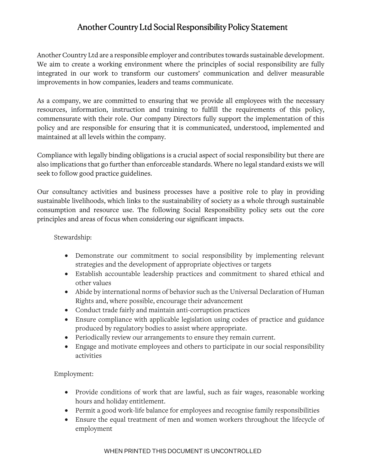## Another Country Ltd Social Responsibility Policy Statement

Another Country Ltd are a responsible employer and contributes towards sustainable development. We aim to create a working environment where the principles of social responsibility are fully integrated in our work to transform our customers' communication and deliver measurable improvements in how companies, leaders and teams communicate.

As a company, we are committed to ensuring that we provide all employees with the necessary resources, information, instruction and training to fulfill the requirements of this policy, commensurate with their role. Our company Directors fully support the implementation of this policy and are responsible for ensuring that it is communicated, understood, implemented and maintained at all levels within the company.

Compliance with legally binding obligations is a crucial aspect of social responsibility but there are also implications that go further than enforceable standards. Where no legal standard exists we will seek to follow good practice guidelines.

Our consultancy activities and business processes have a positive role to play in providing sustainable livelihoods, which links to the sustainability of society as a whole through sustainable consumption and resource use. The following Social Responsibility policy sets out the core principles and areas of focus when considering our significant impacts.

#### Stewardship:

- Demonstrate our commitment to social responsibility by implementing relevant strategies and the development of appropriate objectives or targets
- Establish accountable leadership practices and commitment to shared ethical and other values
- Abide by international norms of behavior such as the Universal Declaration of Human Rights and, where possible, encourage their advancement
- Conduct trade fairly and maintain anti-corruption practices
- Ensure compliance with applicable legislation using codes of practice and guidance produced by regulatory bodies to assist where appropriate.
- Periodically review our arrangements to ensure they remain current.
- Engage and motivate employees and others to participate in our social responsibility activities

### Employment:

- Provide conditions of work that are lawful, such as fair wages, reasonable working hours and holiday entitlement.
- Permit a good work-life balance for employees and recognise family responsibilities
- Ensure the equal treatment of men and women workers throughout the lifecycle of employment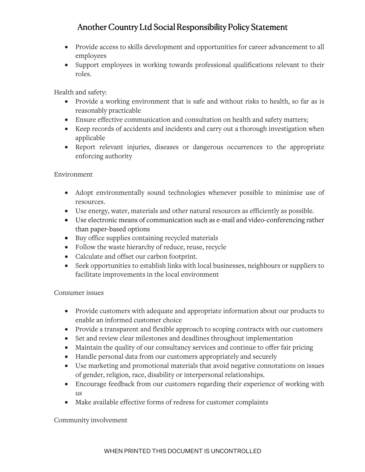# Another Country Ltd Social Responsibility Policy Statement

- Provide access to skills development and opportunities for career advancement to all employees
- Support employees in working towards professional qualifications relevant to their roles.

Health and safety:

- Provide a working environment that is safe and without risks to health, so far as is reasonably practicable
- Ensure effective communication and consultation on health and safety matters;
- Keep records of accidents and incidents and carry out a thorough investigation when applicable
- Report relevant injuries, diseases or dangerous occurrences to the appropriate enforcing authority

### Environment

- Adopt environmentally sound technologies whenever possible to minimise use of resources.
- Use energy, water, materials and other natural resources as efficiently as possible.
- Use electronic means of communication such as e-mail and video-conferencing rather than paper-based options
- Buy office supplies containing recycled materials
- Follow the waste hierarchy of reduce, reuse, recycle
- Calculate and offset our carbon footprint.
- Seek opportunities to establish links with local businesses, neighbours or suppliers to facilitate improvements in the local environment

### Consumer issues

- Provide customers with adequate and appropriate information about our products to enable an informed customer choice
- Provide a transparent and flexible approach to scoping contracts with our customers
- Set and review clear milestones and deadlines throughout implementation
- Maintain the quality of our consultancy services and continue to offer fair pricing
- Handle personal data from our customers appropriately and securely
- Use marketing and promotional materials that avoid negative connotations on issues of gender, religion, race, disability or interpersonal relationships.
- Encourage feedback from our customers regarding their experience of working with us
- Make available effective forms of redress for customer complaints

## Community involvement